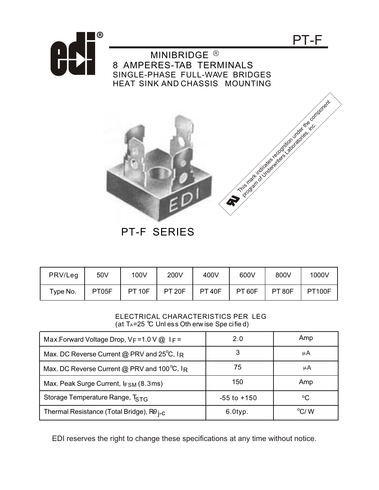

MINIBRIDGE<sup>®</sup> 8 AMPERES-TAB TERMINALS SINGLE-PHASE FULL-WAVE BRIDGES HEAT SINK AND CHASSIS MOUNTING



PT-F

PT-F SERIES

| PRV/Leg  | 50V   | 100V          | 200V          | 400V          | 600V          | 800V          | 1000V         |
|----------|-------|---------------|---------------|---------------|---------------|---------------|---------------|
| Type No. | PT05F | <b>PT 10F</b> | <b>PT 20F</b> | <b>PT 40F</b> | <b>PT 60F</b> | <b>PT 80F</b> | <b>PT100F</b> |

## ELECTRICAL CHARACTERISTICS PER LEG (at  $T_A$ =25 °C Unl ess Oth erw ise Spe cified)

| Max.Forward Voltage Drop, $V_F = 1.0 V @ I_F =$           | 2.0             | Amp           |
|-----------------------------------------------------------|-----------------|---------------|
| Max. DC Reverse Current @ PRV and $25^{\circ}$ C, IR      |                 | μA            |
| Max. DC Reverse Current @ PRV and $100^{\circ}$ C, IR     | 75              | μA            |
| Max. Peak Surge Current, $I_{FSM}$ (8.3ms)                | 150             | Amp           |
| Storage Temperature Range, T <sub>STG</sub>               | $-55$ to $+150$ | °C            |
| Thermal Resistance (Total Bridge), $R\theta_{\text{i-C}}$ | $6.0$ typ.      | $\rm ^{o}C/M$ |

EDI reserves the right to change these specifications at any time without notice.